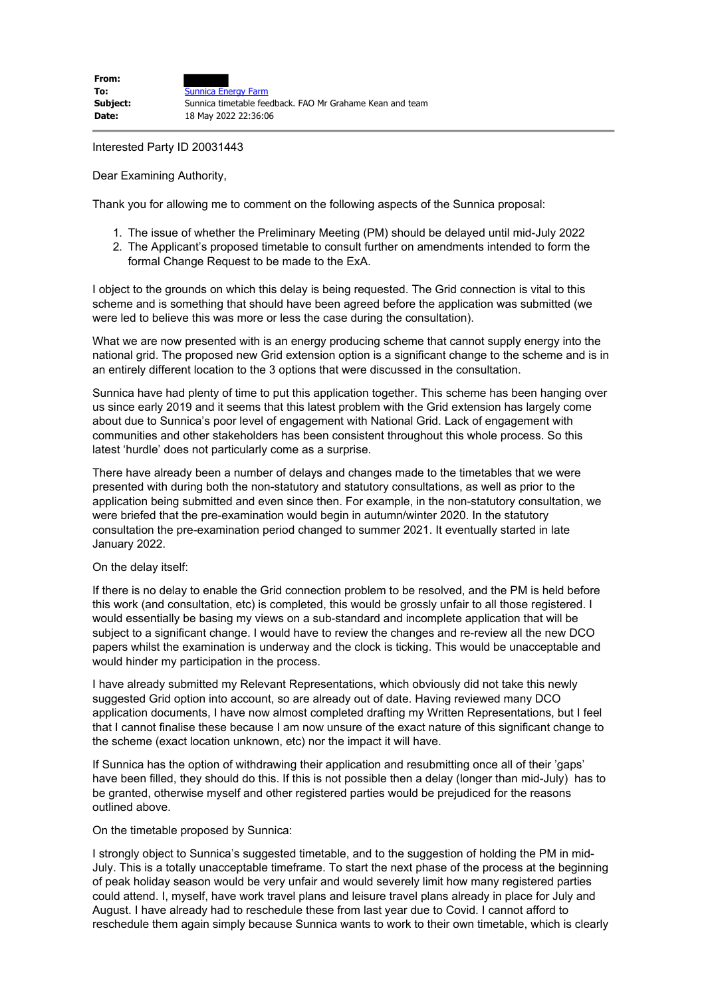Interested Party ID 20031443

Dear Examining Authority,

Thank you for allowing me to comment on the following aspects of the Sunnica proposal:

- 1. The issue of whether the Preliminary Meeting (PM) should be delayed until mid-July 2022
- 2. The Applicant's proposed timetable to consult further on amendments intended to form the formal Change Request to be made to the ExA.

I object to the grounds on which this delay is being requested. The Grid connection is vital to this scheme and is something that should have been agreed before the application was submitted (we were led to believe this was more or less the case during the consultation).

What we are now presented with is an energy producing scheme that cannot supply energy into the national grid. The proposed new Grid extension option is a significant change to the scheme and is in an entirely different location to the 3 options that were discussed in the consultation.

Sunnica have had plenty of time to put this application together. This scheme has been hanging over us since early 2019 and it seems that this latest problem with the Grid extension has largely come about due to Sunnica's poor level of engagement with National Grid. Lack of engagement with communities and other stakeholders has been consistent throughout this whole process. So this latest 'hurdle' does not particularly come as a surprise.

There have already been a number of delays and changes made to the timetables that we were presented with during both the non-statutory and statutory consultations, as well as prior to the application being submitted and even since then. For example, in the non-statutory consultation, we were briefed that the pre-examination would begin in autumn/winter 2020. In the statutory consultation the pre-examination period changed to summer 2021. It eventually started in late January 2022.

## On the delay itself:

If there is no delay to enable the Grid connection problem to be resolved, and the PM is held before this work (and consultation, etc) is completed, this would be grossly unfair to all those registered. I would essentially be basing my views on a sub-standard and incomplete application that will be subject to a significant change. I would have to review the changes and re-review all the new DCO papers whilst the examination is underway and the clock is ticking. This would be unacceptable and would hinder my participation in the process.

I have already submitted my Relevant Representations, which obviously did not take this newly suggested Grid option into account, so are already out of date. Having reviewed many DCO application documents, I have now almost completed drafting my Written Representations, but I feel that I cannot finalise these because I am now unsure of the exact nature of this significant change to the scheme (exact location unknown, etc) nor the impact it will have.

If Sunnica has the option of withdrawing their application and resubmitting once all of their 'gaps' have been filled, they should do this. If this is not possible then a delay (longer than mid-July) has to be granted, otherwise myself and other registered parties would be prejudiced for the reasons outlined above.

## On the timetable proposed by Sunnica:

I strongly object to Sunnica's suggested timetable, and to the suggestion of holding the PM in mid-July. This is a totally unacceptable timeframe. To start the next phase of the process at the beginning of peak holiday season would be very unfair and would severely limit how many registered parties could attend. I, myself, have work travel plans and leisure travel plans already in place for July and August. I have already had to reschedule these from last year due to Covid. I cannot afford to reschedule them again simply because Sunnica wants to work to their own timetable, which is clearly